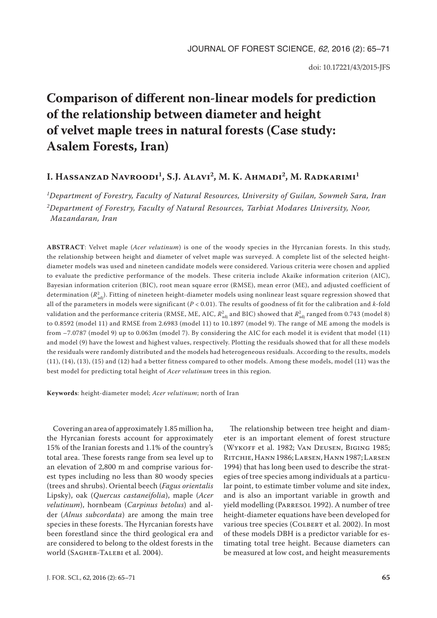# **Comparison of different non-linear models for prediction of the relationship between diameter and height of velvet maple trees in natural forests (Case study: Asalem Forests, Iran)**

## **I. Hassanzad Navroodi1, S.J. Alavi2, M. K. Ahmadi2, M. Radkarimi1**

*1Department of Forestry, Faculty of Natural Resources, University of Guilan, Sowmeh Sara, Iran 2Department of Forestry, Faculty of Natural Resources, Tarbiat Modares University, Noor, Mazandaran, Iran*

**ABSTRACT**: Velvet maple (*Acer velutinum*) is one of the woody species in the Hyrcanian forests. In this study, the relationship between height and diameter of velvet maple was surveyed. A complete list of the selected heightdiameter models was used and nineteen candidate models were considered. Various criteria were chosen and applied to evaluate the predictive performance of the models. These criteria include Akaike information criterion (AIC), Bayesian information criterion (BIC), root mean square error (RMSE), mean error (ME), and adjusted coefficient of determination ( $R^2_{\rm adj}$ ). Fitting of nineteen height-diameter models using nonlinear least square regression showed that all of the parameters in models were significant (*P* < 0.01). The results of goodness of fit for the calibration and *k*-fold validation and the performance criteria (RMSE, ME, AIC,  $R^2_{\rm adj}$  and BIC) showed that  $R^2_{\rm adj}$  ranged from 0.743 (model 8) to 0.8592 (model 11) and RMSE from 2.6983 (model 11) to 10.1897 (model 9). The range of ME among the models is from –7.0787 (model 9) up to 0.063m (model 7). By considering the AIC for each model it is evident that model (11) and model (9) have the lowest and highest values, respectively. Plotting the residuals showed that for all these models the residuals were randomly distributed and the models had heterogeneous residuals. According to the results, models (11), (14), (13), (15) and (12) had a better fitness compared to other models. Among these models, model (11) was the best model for predicting total height of *Acer velutinum* trees in this region*.*

**Keywords**: height-diameter model; *Acer velutinum*; north of Iran

Covering an area of approximately 1.85 million ha, the Hyrcanian forests account for approximately 15% of the Iranian forests and 1.1% of the country's total area. These forests range from sea level up to an elevation of 2,800 m and comprise various forest types including no less than 80 woody species (trees and shrubs). Oriental beech (*Fagus orientalis* Lipsky), oak (*Quercus castaneifolia*), maple (*Acer velutinum*), hornbeam (*Carpinus betolus*) and alder (*Alnus subcordata*) are among the main tree species in these forests. The Hyrcanian forests have been forestland since the third geological era and are considered to belong to the oldest forests in the world (SAGHEB-TALEBI et al. 2004).

eter is an important element of forest structure (Wykoff et al. 1982; Van Deusen, Biging 1985; RITCHIE, HANN 1986; LARSEN, HANN 1987; LARSEN 1994) that has long been used to describe the strategies of tree species among individuals at a particular point, to estimate timber volume and site index, and is also an important variable in growth and yield modelling (Parresol 1992). A number of tree height-diameter equations have been developed for various tree species (COLBERT et al. 2002). In most of these models DBH is a predictor variable for estimating total tree height. Because diameters can be measured at low cost, and height measurements

The relationship between tree height and diam-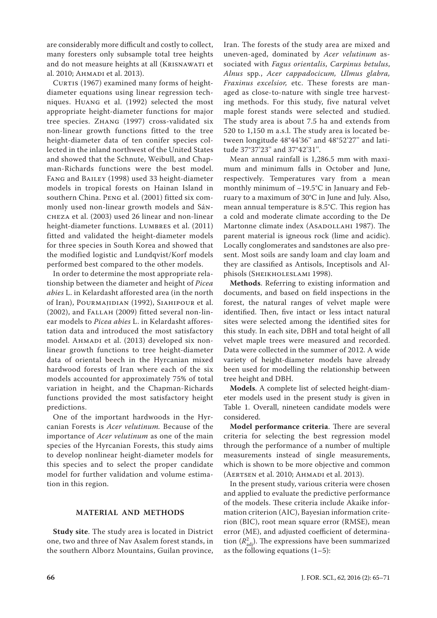are considerably more difficult and costly to collect, many foresters only subsample total tree heights and do not measure heights at all (Krisnawati et al. 2010; Ahmadi et al. 2013).

CURTIS (1967) examined many forms of heightdiameter equations using linear regression techniques. Huang et al. (1992) selected the most appropriate height-diameter functions for major tree species. Zhang (1997) cross-validated six non-linear growth functions fitted to the tree height-diameter data of ten conifer species collected in the inland northwest of the United States and showed that the Schnute, Weibull, and Chapman-Richards functions were the best model. Fang and Bailey (1998) used 33 height-diameter models in tropical forests on Hainan Island in southern China. Peng et al. (2001) fitted six commonly used non-linear growth models and Sáncheza et al. (2003) used 26 linear and non-linear height-diameter functions. LUMBRES et al. (2011) fitted and validated the height-diameter models for three species in South Korea and showed that the modified logistic and Lundqvist/Korf models performed best compared to the other models.

In order to determine the most appropriate relationship between the diameter and height of *Picea abies* L. in Kelardasht afforested area (in the north of Iran), Pourmajidian (1992), Siahipour et al. (2002), and Fallah (2009) fitted several non-linear models to *Picea abies* L. in Kelardasht afforestation data and introduced the most satisfactory model. AHMADI et al. (2013) developed six nonlinear growth functions to tree height-diameter data of oriental beech in the Hyrcanian mixed hardwood forests of Iran where each of the six models accounted for approximately 75% of total variation in height, and the Chapman-Richards functions provided the most satisfactory height predictions.

One of the important hardwoods in the Hyrcanian Forests is *Acer velutinum.* Because of the importance of *Acer velutinum* as one of the main species of the Hyrcanian Forests, this study aims to develop nonlinear height-diameter models for this species and to select the proper candidate model for further validation and volume estimation in this region.

### **MATERIAL AND METHODS**

**Study site**. The study area is located in District one, two and three of Nav Asalem forest stands, in the southern Alborz Mountains, Guilan province,

Iran. The forests of the study area are mixed and uneven-aged, dominated by *Acer velutinum* associated with *Fagus orientalis*, *Carpinus betulus*, *Alnus* spp*.*, *Acer cappadocicum, Ulmus glabra, Fraxinus excelsior,* etc. These forests are managed as close-to-nature with single tree harvesting methods. For this study, five natural velvet maple forest stands were selected and studied. The study area is about 7.5 ha and extends from 520 to 1,150 m a.s.l. The study area is located between longitude 48°44'36'' and 48°52'27'' and latitude 37°37'23'' and 37°42'31''.

Mean annual rainfall is 1,286.5 mm with maximum and minimum falls in October and June, respectively. Temperatures vary from a mean monthly minimum of –19.5°C in January and February to a maximum of 30°C in June and July. Also, mean annual temperature is 8.5°C. This region has a cold and moderate climate according to the De Martonne climate index (Asadollahi 1987). The parent material is igneous rock (lime and acidic). Locally conglomerates and sandstones are also present. Most soils are sandy loam and clay loam and they are classified as Antisols, Inceptisols and Alphisols (Sheikholeslami 1998).

**Methods**. Referring to existing information and documents, and based on field inspections in the forest, the natural ranges of velvet maple were identified. Then, five intact or less intact natural sites were selected among the identified sites for this study. In each site, DBH and total height of all velvet maple trees were measured and recorded. Data were collected in the summer of 2012. A wide variety of height-diameter models have already been used for modelling the relationship between tree height and DBH.

**Models**. A complete list of selected height-diameter models used in the present study is given in Table 1. Overall, nineteen candidate models were considered.

**Model performance criteria**. There are several criteria for selecting the best regression model through the performance of a number of multiple measurements instead of single measurements, which is shown to be more objective and common (AERTSEN et al. 2010; AHMADI et al. 2013).

In the present study, various criteria were chosen and applied to evaluate the predictive performance of the models. These criteria include Akaike information criterion (AIC), Bayesian information criterion (BIC), root mean square error (RMSE), mean error (ME), and adjusted coefficient of determination  $(R^2_{\text{adj}})$ . The expressions have been summarized as the following equations  $(1-5)$ :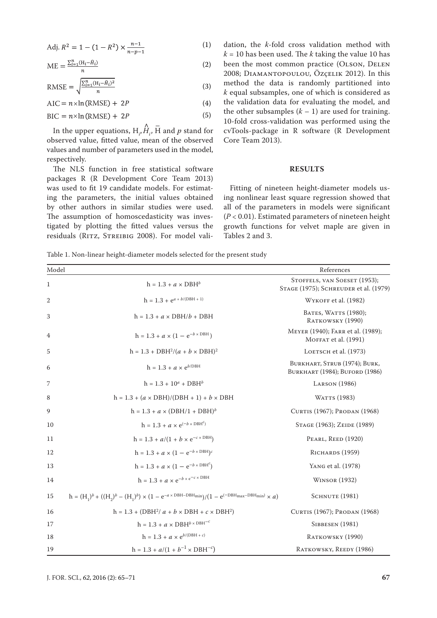Adj. 
$$
R^2 = 1 - (1 - R^2) \times \frac{n-1}{n-p-1}
$$
 (1)

$$
ME = \frac{\sum_{i=1}^{n} (H_i - \hat{H}_i)}{n} \tag{2}
$$

$$
RMSE = \sqrt{\frac{\sum_{i=1}^{n} (H_i - \hat{H}_i)^2}{n}}
$$
(3)

$$
AIC = n \times \ln(RMSE) + 2P \tag{4}
$$

$$
BIC = n \times \ln(RMSE) + 2P \tag{5}
$$

In the upper equations,  $H$ <sub>*i*</sub>, ∧  $\hat{H}_i$ ,  $\bar{H}$  and  $p$  stand for observed value, fitted value, mean of the observed values and number of parameters used in the model, respectively.

The NLS function in free statistical software packages R (R Development Core Team 2013) was used to fit 19 candidate models. For estimating the parameters, the initial values obtained by other authors in similar studies were used. The assumption of homoscedasticity was investigated by plotting the fitted values versus the residuals (RITZ, STREIBIG 2008). For model validation, the *k*-fold cross validation method with  $k = 10$  has been used. The *k* taking the value 10 has been the most common practice (OLSON, DELEN 2008; Diamantopoulou, Özçelik 2012). In this method the data is randomly partitioned into *k* equal subsamples, one of which is considered as the validation data for evaluating the model, and the other subsamples  $(k - 1)$  are used for training. 10-fold cross-validation was performed using the cvTools-package in R software (R Development Core Team 2013).

#### **RESULTS**

Fitting of nineteen height-diameter models using nonlinear least square regression showed that all of the parameters in models were significant (*P* < 0.01). Estimated parameters of nineteen height growth functions for velvet maple are given in Tables 2 and 3.

Table 1. Non-linear height-diameter models selected for the present study

| Model        |                                                                                                                            | References                                                            |
|--------------|----------------------------------------------------------------------------------------------------------------------------|-----------------------------------------------------------------------|
| $\mathbf{1}$ | $h = 1.3 + a \times DBH^b$                                                                                                 | STOFFELS, VAN SOESET (1953);<br>STAGE (1975); SCHREUDER et al. (1979) |
| 2            | $h = 1.3 + e^{a + b/(DBH + 1)}$                                                                                            | WYKOFF et al. (1982)                                                  |
| 3            | $h = 1.3 + a \times DBH/b + DBH$                                                                                           | BATES, WATTS (1980);<br>RATKOWSKY (1990)                              |
| 4            | $h = 1.3 + a \times (1 - e^{-b \times DBH})$                                                                               | MEYER (1940); FARR et al. (1989);<br>MOFFAT et al. (1991)             |
| 5            | $h = 1.3 + DBH^2/(a + b \times DBH)^2$                                                                                     | LOETSCH et al. (1973)                                                 |
| 6            | $h = 1.3 + a \times e^{b/DBH}$                                                                                             | BURKHART, STRUB (1974); BURK,<br>BURKHART (1984); BUFORD (1986)       |
| 7            | $h = 1.3 + 10^a + DBH^b$                                                                                                   | <b>LARSON</b> (1986)                                                  |
| 8            | $h = 1.3 + (a \times DBH)/(DBH + 1) + b \times DBH$                                                                        | WATTS (1983)                                                          |
| 9            | $h = 1.3 + a \times (DBH/1 + DBH)^{b}$                                                                                     | CURTIS (1967); PRODAN (1968)                                          |
| 10           | $h = 1.3 + a \times e^{(-b \times DBH^c)}$                                                                                 | STAGE (1963); ZEIDE (1989)                                            |
| 11           | $h = 1.3 + a/(1 + b \times e^{-c \times DBH})$                                                                             | PEARL, REED (1920)                                                    |
| 12           | $h = 1.3 + a \times (1 - e^{-b \times DBH})^c$                                                                             | RICHARDS (1959)                                                       |
| 13           | $h = 1.3 + a \times (1 - e^{-b \times DBH^c})$                                                                             | YANG et al. (1978)                                                    |
| 14           | $\mathbf{h} = 1.3 + a \times \mathrm{e}^{-b \times \mathrm{e}^{-c \times \mathrm{DBH}}}$                                   | <b>WINSOR</b> (1932)                                                  |
| 15           | $h = (H_1)^b + ((H_2)^b - (H_1)^b) \times (1 - e^{-a \times DBH - DBH_{min}})/(1 - e^{(-DBH_{max} - DBH_{min})} \times a)$ | SCHNUTE (1981)                                                        |
| 16           | $h = 1.3 + (DBH^2/a + b \times DBH + c \times DBH^2)$                                                                      | CURTIS (1967); PRODAN (1968)                                          |
| 17           | $h = 1.3 + a \times DBH^{b \times DBH^{-c}}$                                                                               | <b>SIBBESEN</b> (1981)                                                |
| 18           | $h = 1.3 + a \times e^{b/(\text{DBH} + c)}$                                                                                | RATKOWSKY (1990)                                                      |
| 19           | $h = 1.3 + a/(1 + b^{-1} \times DBH^{-c})$                                                                                 | RATKOWSKY, REEDY (1986)                                               |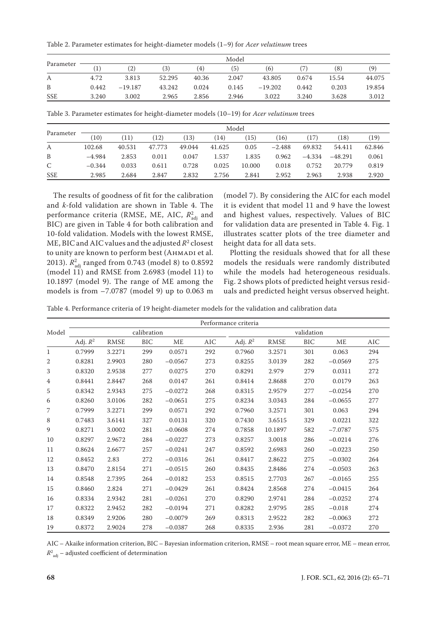Table 2. Parameter estimates for height-diameter models (1–9) for *Acer velutinum* trees

|            | Model |           |        |       |       |           |       |       |        |  |
|------------|-------|-----------|--------|-------|-------|-----------|-------|-------|--------|--|
| Parameter  | 1)    | (2)       | (3)    | (4)   | (5)   | (6)       |       | (8)   | (9)    |  |
| А          | 4.72  | 3.813     | 52.295 | 40.36 | 2.047 | 43.805    | 0.674 | 15.54 | 44.075 |  |
| B          | 0.442 | $-19.187$ | 43.242 | 0.024 | 0.145 | $-19.202$ | 0.442 | 0.203 | 19.854 |  |
| <b>SSE</b> | 3.240 | 3.002     | 2.965  | 2.856 | 2.946 | 3.022     | 3.240 | 3.628 | 3.012  |  |

Table 3. Parameter estimates for height-diameter models (10–19) for *Acer velutinum* trees

|              | Model    |        |        |        |        |        |          |          |           |        |  |  |
|--------------|----------|--------|--------|--------|--------|--------|----------|----------|-----------|--------|--|--|
| Parameter    | (10)     | (11)   | (12)   | (13)   | (14)   | 15)    | 16)      | (17)     | (18)      | (19)   |  |  |
| A            | 102.68   | 40.531 | 47.773 | 49.044 | 41.625 | 0.05   | $-2.488$ | 69.832   | 54.411    | 62.846 |  |  |
| B            | $-4.984$ | 2.853  | 0.011  | 0.047  | 1.537  | 1.835  | 0.962    | $-4.334$ | $-48.291$ | 0.061  |  |  |
| $\mathsf{C}$ | $-0.344$ | 0.033  | 0.611  | 0.728  | 0.025  | 10.000 | 0.018    | 0.752    | 20.779    | 0.819  |  |  |
| <b>SSE</b>   | 2.985    | 2.684  | 2.847  | 2.832  | 2.756  | 2.841  | 2.952    | 2.963    | 2.938     | 2.920  |  |  |

The results of goodness of fit for the calibration and *k*-fold validation are shown in Table 4. The performance criteria (RMSE, ME, AIC,  $R_{\text{adj}}^2$  and BIC) are given in Table 4 for both calibration and 10-fold validation. Models with the lowest RMSE, ME, BIC and AIC values and the adjusted  $R^2$  closest to unity are known to perform best (AHMADI et al. 2013). *R*<sub>adj</sub> ranged from 0.743 (model 8) to 0.8592 (model 11) and RMSE from 2.6983 (model 11) to 10.1897 (model 9). The range of ME among the models is from –7.0787 (model 9) up to 0.063 m

(model 7). By considering the AIC for each model it is evident that model 11 and 9 have the lowest and highest values, respectively. Values of BIC for validation data are presented in Table 4. Fig. 1 illustrates scatter plots of the tree diameter and height data for all data sets.

Plotting the residuals showed that for all these models the residuals were randomly distributed while the models had heterogeneous residuals. Fig. 2 shows plots of predicted height versus residuals and predicted height versus observed height.

Table 4. Performance criteria of 19 height-diameter models for the validation and calibration data

|                | Performance criteria |             |           |           |           |            |            |           |           |     |  |
|----------------|----------------------|-------------|-----------|-----------|-----------|------------|------------|-----------|-----------|-----|--|
| Model          | calibration          |             |           |           |           |            | validation |           |           |     |  |
|                | Adj. $R^2$           | <b>RMSE</b> | $\rm BIC$ | ME        | $\rm AIC$ | Adj. $R^2$ | RMSE       | $\rm BIC$ | ME        | AIC |  |
| $\mathbf{1}$   | 0.7999               | 3.2271      | 299       | 0.0571    | 292       | 0.7960     | 3.2571     | 301       | 0.063     | 294 |  |
| 2              | 0.8281               | 2.9903      | 280       | $-0.0567$ | 273       | 0.8255     | 3.0139     | 282       | $-0.0569$ | 275 |  |
| 3              | 0.8320               | 2.9538      | 277       | 0.0275    | 270       | 0.8291     | 2.979      | 279       | 0.0311    | 272 |  |
| $\overline{4}$ | 0.8441               | 2.8447      | 268       | 0.0147    | 261       | 0.8414     | 2.8688     | 270       | 0.0179    | 263 |  |
| 5              | 0.8342               | 2.9343      | 275       | $-0.0272$ | 268       | 0.8315     | 2.9579     | 277       | $-0.0254$ | 270 |  |
| 6              | 0.8260               | 3.0106      | 282       | $-0.0651$ | 275       | 0.8234     | 3.0343     | 284       | $-0.0655$ | 277 |  |
| 7              | 0.7999               | 3.2271      | 299       | 0.0571    | 292       | 0.7960     | 3.2571     | 301       | 0.063     | 294 |  |
| 8              | 0.7483               | 3.6141      | 327       | 0.0131    | 320       | 0.7430     | 3.6515     | 329       | 0.0221    | 322 |  |
| 9              | 0.8271               | 3.0002      | 281       | $-0.0608$ | 274       | 0.7858     | 10.1897    | 582       | $-7.0787$ | 575 |  |
| 10             | 0.8297               | 2.9672      | 284       | $-0.0227$ | 273       | 0.8257     | 3.0018     | 286       | $-0.0214$ | 276 |  |
| 11             | 0.8624               | 2.6677      | 257       | $-0.0241$ | 247       | 0.8592     | 2.6983     | 260       | $-0.0223$ | 250 |  |
| 12             | 0.8452               | 2.83        | 272       | $-0.0316$ | 261       | 0.8417     | 2.8622     | 275       | $-0.0302$ | 264 |  |
| 13             | 0.8470               | 2.8154      | 271       | $-0.0515$ | 260       | 0.8435     | 2.8486     | 274       | $-0.0503$ | 263 |  |
| 14             | 0.8548               | 2.7395      | 264       | $-0.0182$ | 253       | 0.8515     | 2.7703     | 267       | $-0.0165$ | 255 |  |
| 15             | 0.8460               | 2.824       | 271       | $-0.0429$ | 261       | 0.8424     | 2.8568     | 274       | $-0.0415$ | 264 |  |
| 16             | 0.8334               | 2.9342      | 281       | $-0.0261$ | 270       | 0.8290     | 2.9741     | 284       | $-0.0252$ | 274 |  |
| 17             | 0.8322               | 2.9452      | 282       | $-0.0194$ | 271       | 0.8282     | 2.9795     | 285       | $-0.018$  | 274 |  |
| 18             | 0.8349               | 2.9206      | 280       | $-0.0079$ | 269       | 0.8313     | 2.9522     | 282       | $-0.0063$ | 272 |  |
| 19             | 0.8372               | 2.9024      | 278       | $-0.0387$ | 268       | 0.8335     | 2.936      | 281       | $-0.0372$ | 270 |  |

AIC – Akaike information criterion, BIC – Bayesian information criterion, RMSE – root mean square error, ME – mean error,

 $R^2_{\ \, \rm adj}$  – adjusted coefficient of determination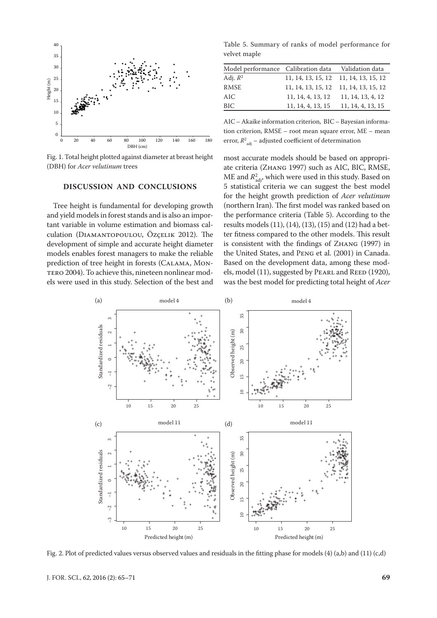

Fig. 1. Total height plotted against diameter at breast height (DBH) for *Acer velutinum* trees

#### **DISCUSSION AND CONCLUSIONS**

Tree height is fundamental for developing growth and yield models in forest stands and is also an important variable in volume estimation and biomass calculation (Diamantopoulou, Özçelik 2012). The development of simple and accurate height diameter models enables forest managers to make the reliable prediction of tree height in forests (Calama, Mon-TERO 2004). To achieve this, nineteen nonlinear models were used in this study. Selection of the best and

Table 5. Summary of ranks of model performance for velvet maple

| Model performance Calibration data |                   | Validation data                       |
|------------------------------------|-------------------|---------------------------------------|
| Adj. $R^2$                         |                   | 11, 14, 13, 15, 12 11, 14, 13, 15, 12 |
| RMSE                               |                   | 11, 14, 13, 15, 12 11, 14, 13, 15, 12 |
| AIC                                | 11, 14, 4, 13, 12 | 11, 14, 13, 4, 12                     |
| BIC                                | 11, 14, 4, 13, 15 | 11, 14, 4, 13, 15                     |

AIC – Akaike information criterion, BIC – Bayesian information criterion, RMSE – root mean square error, ME – mean error,  $R^2_{\text{adj}}$  – adjusted coefficient of determination

most accurate models should be based on appropriate criteria (Zhang 1997) such as AIC, BIC, RMSE, ME and  $R_{\mathrm{adj}}^2$ , which were used in this study. Based on 5 statistical criteria we can suggest the best model for the height growth prediction of *Acer velutinum* (northern Iran). The first model was ranked based on the performance criteria (Table 5). According to the results models (11), (14), (13), (15) and (12) had a better fitness compared to the other models. This result is consistent with the findings of Zhang (1997) in the United States, and Peng et al. (2001) in Canada. Based on the development data, among these models, model (11), suggested by PEARL and REED (1920), was the best model for predicting total height of *Acer* 



Fig. 2. Plot of predicted values versus observed values and residuals in the fitting phase for models (4) (a,b) and (11) (c,d)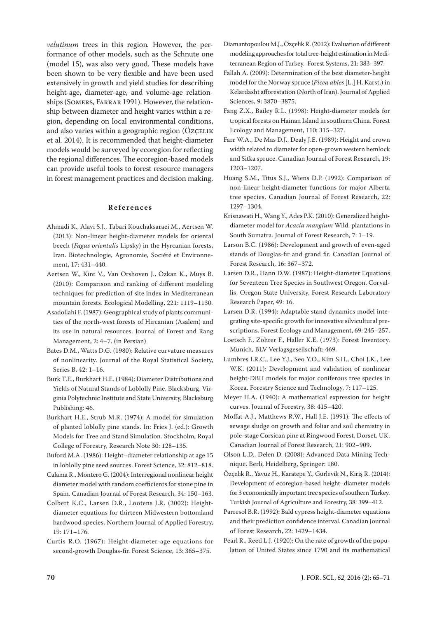*velutinum* trees in this region*.* However, the performance of other models, such as the Schnute one (model 15), was also very good. These models have been shown to be very flexible and have been used extensively in growth and yield studies for describing height-age, diameter-age, and volume-age relationships (SOMERS, FARRAR 1991). However, the relationship between diameter and height varies within a region, depending on local environmental conditions, and also varies within a geographic region (ÖZÇELIK et al. 2014). It is recommended that height-diameter models would be surveyed by ecoregion for reflecting the regional differences. The ecoregion-based models can provide useful tools to forest resource managers in forest management practices and decision making.

#### **References**

- Ahmadi K., Alavi S.J., Tabari Kouchaksaraei M., Aertsen W. (2013): Non-linear height-diameter models for oriental beech (*Fagus orientalis* Lipsky) in the Hyrcanian forests, Iran. Biotechnologie, Agronomie, Société et Environnement, 17: 431–440.
- Aertsen W., Kint V., Van Orshoven J., Özkan K., Muys B. (2010): Comparison and ranking of different modeling techniques for prediction of site index in Mediterranean mountain forests. Ecological Modelling, 221: 1119–1130.
- Asadollahi F. (1987): Geographical study of plants communities of the north-west forests of Hircanian (Asalem) and its use in natural resources. Journal of Forest and Rang Management, 2: 4–7. (in Persian)
- Bates D.M., Watts D.G. (1980): Relative curvature measures of nonlinearity. Journal of the Royal Statistical Society, Series B, 42: 1–16.
- Burk T.E., Burkhart H.E. (1984): Diameter Distributions and Yields of Natural Stands of Loblolly Pine. Blacksburg, Virginia Polytechnic Institute and State University, Blacksburg Publishing: 46.
- Burkhart H.E., Strub M.R. (1974): A model for simulation of planted loblolly pine stands. In: Fries J. (ed.): Growth Models for Tree and Stand Simulation. Stockholm, Royal College of Forestry, Research Note 30: 128–135.
- Buford M.A. (1986): Height–diameter relationship at age 15 in loblolly pine seed sources. Forest Science, 32: 812–818.
- Calama R., Montero G. (2004): Interregional nonlinear height diameter model with random coefficients for stone pine in Spain. Canadian Journal of Forest Research, 34: 150–163.
- Colbert K.C., Larsen D.R., Lootens J.R. (2002): Heightdiameter equations for thirteen Midwestern bottomland hardwood species. Northern Journal of Applied Forestry, 19: 171–176.
- Curtis R.O. (1967): Height-diameter-age equations for second-growth Douglas-fir. Forest Science, 13: 365–375.
- Diamantopoulou M.J., Özçelik R. (2012): Evaluation of different modeling approaches for total tree-height estimation in Mediterranean Region of Turkey. Forest Systems, 21: 383–397.
- Fallah A. (2009): Determination of the best diameter-height model for the Norway spruce (*Picea abies* [L.] H. Karst.) in Kelardasht afforestation (North of Iran). Journal of Applied Sciences, 9: 3870–3875.
- Fang Z.X., Bailey R.L. (1998): Height-diameter models for tropical forests on Hainan Island in southern China. Forest Ecology and Management, 110: 315–327.
- Farr W.A., De Mas D.J., Dealy J.E. (1989): Height and crown width related to diameter for open-grown western hemlock and Sitka spruce. Canadian Journal of Forest Research, 19: 1203–1207.
- Huang S.M., Titus S.J., Wiens D.P. (1992): Comparison of non-linear height-diameter functions for major Alberta tree species. Canadian Journal of Forest Research, 22: 1297–1304.
- Krisnawati H., Wang Y., Ades P.K. (2010): Generalized heightdiameter model for *Acacia mangium* Wild. plantations in South Sumatra. Journal of Forest Research, 7: 1–19.
- Larson B.C. (1986): Development and growth of even-aged stands of Douglas-fir and grand fir. Canadian Journal of Forest Research, 16: 367–372.
- Larsen D.R., Hann D.W. (1987): Height-diameter Equations for Seventeen Tree Species in Southwest Oregon. Corvallis, Oregon State University, Forest Research Laboratory Research Paper, 49: 16.
- Larsen D.R. (1994): Adaptable stand dynamics model integrating site-specific growth for innovative silvicultural prescriptions. Forest Ecology and Management, 69: 245–257.
- Loetsch F., Zöhrer F., Haller K.E. (1973): Forest Inventory. Munich, BLV Verlagsgesellschaft: 469.
- Lumbres I.R.C., Lee Y.J., Seo Y.O., Kim S.H., Choi J.K., Lee W.K. (2011): Development and validation of nonlinear height-DBH models for major coniferous tree species in Korea. Forestry Science and Technology, 7: 117–125.
- Meyer H.A. (1940): A mathematical expression for height curves. Journal of Forestry, 38: 415–420.
- Moffat A.J., Matthews R.W., Hall J.E. (1991): The effects of sewage sludge on growth and foliar and soil chemistry in pole-stage Corsican pine at Ringwood Forest, Dorset, UK. Canadian Journal of Forest Research, 21: 902–909.
- Olson L.D., Delen D. (2008): Advanced Data Mining Technique. Berli, Heidelberg, Springer: 180.
- Özçelik R., Yavuz H., Karatepe Y., Gürlevik N., Kiriș R. (2014): Development of ecoregion-based height–diameter models for 3 economically important tree species of southern Turkey. Turkish Journal of Agriculture and Forestry, 38: 399–412.
- Parresol B.R. (1992): Bald cypress height-diameter equations and their prediction confidence interval. Canadian Journal of Forest Research, 22: 1429–1434.
- Pearl R., Reed L.J. (1920): On the rate of growth of the population of United States since 1790 and its mathematical